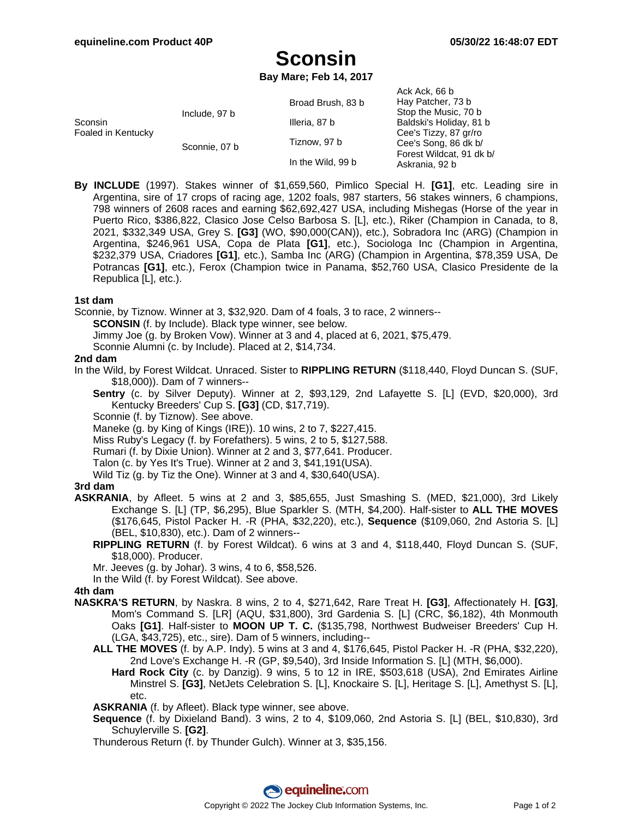Ack, Ack, 66 b

# **Sconsin**

**Bay Mare; Feb 14, 2017**

|                               |               |                                   | AUN AUN. UU D            |
|-------------------------------|---------------|-----------------------------------|--------------------------|
| Sconsin<br>Foaled in Kentucky | Include, 97 b | Broad Brush, 83 b                 | Hay Patcher, 73 b        |
|                               |               |                                   | Stop the Music, 70 b     |
|                               |               | Illeria, 87 b                     | Baldski's Holiday, 81 b  |
|                               |               | Tiznow, 97 b<br>In the Wild, 99 b | Cee's Tizzy, 87 gr/ro    |
|                               | Sconnie, 07 b |                                   | Cee's Song, 86 dk b/     |
|                               |               |                                   | Forest Wildcat, 91 dk b/ |
|                               |               |                                   | Askrania, 92 b           |
|                               |               |                                   |                          |

**By INCLUDE** (1997). Stakes winner of \$1,659,560, Pimlico Special H. **[G1]**, etc. Leading sire in Argentina, sire of 17 crops of racing age, 1202 foals, 987 starters, 56 stakes winners, 6 champions, 798 winners of 2608 races and earning \$62,692,427 USA, including Mishegas (Horse of the year in Puerto Rico, \$386,822, Clasico Jose Celso Barbosa S. [L], etc.), Riker (Champion in Canada, to 8, 2021, \$332,349 USA, Grey S. **[G3]** (WO, \$90,000(CAN)), etc.), Sobradora Inc (ARG) (Champion in Argentina, \$246,961 USA, Copa de Plata **[G1]**, etc.), Sociologa Inc (Champion in Argentina, \$232,379 USA, Criadores **[G1]**, etc.), Samba Inc (ARG) (Champion in Argentina, \$78,359 USA, De Potrancas **[G1]**, etc.), Ferox (Champion twice in Panama, \$52,760 USA, Clasico Presidente de la Republica [L], etc.).

#### **1st dam**

Sconnie, by Tiznow. Winner at 3, \$32,920. Dam of 4 foals, 3 to race, 2 winners--

**SCONSIN** (f. by Include). Black type winner, see below.

Jimmy Joe (g. by Broken Vow). Winner at 3 and 4, placed at 6, 2021, \$75,479.

Sconnie Alumni (c. by Include). Placed at 2, \$14,734.

#### **2nd dam**

- In the Wild, by Forest Wildcat. Unraced. Sister to **RIPPLING RETURN** (\$118,440, Floyd Duncan S. (SUF, \$18,000)). Dam of 7 winners--
	- **Sentry** (c. by Silver Deputy). Winner at 2, \$93,129, 2nd Lafayette S. [L] (EVD, \$20,000), 3rd Kentucky Breeders' Cup S. **[G3]** (CD, \$17,719).
	- Sconnie (f. by Tiznow). See above.

Maneke (g. by King of Kings (IRE)). 10 wins, 2 to 7, \$227,415.

Miss Ruby's Legacy (f. by Forefathers). 5 wins, 2 to 5, \$127,588.

Rumari (f. by Dixie Union). Winner at 2 and 3, \$77,641. Producer.

- Talon (c. by Yes It's True). Winner at 2 and 3, \$41,191(USA).
- Wild Tiz (g. by Tiz the One). Winner at 3 and 4, \$30,640(USA).

## **3rd dam**

- **ASKRANIA**, by Afleet. 5 wins at 2 and 3, \$85,655, Just Smashing S. (MED, \$21,000), 3rd Likely Exchange S. [L] (TP, \$6,295), Blue Sparkler S. (MTH, \$4,200). Half-sister to **ALL THE MOVES** (\$176,645, Pistol Packer H. -R (PHA, \$32,220), etc.), **Sequence** (\$109,060, 2nd Astoria S. [L] (BEL, \$10,830), etc.). Dam of 2 winners--
	- **RIPPLING RETURN** (f. by Forest Wildcat). 6 wins at 3 and 4, \$118,440, Floyd Duncan S. (SUF, \$18,000). Producer.

Mr. Jeeves (g. by Johar). 3 wins, 4 to 6, \$58,526.

In the Wild (f. by Forest Wildcat). See above.

## **4th dam**

- **NASKRA'S RETURN**, by Naskra. 8 wins, 2 to 4, \$271,642, Rare Treat H. **[G3]**, Affectionately H. **[G3]**, Mom's Command S. [LR] (AQU, \$31,800), 3rd Gardenia S. [L] (CRC, \$6,182), 4th Monmouth Oaks **[G1]**. Half-sister to **MOON UP T. C.** (\$135,798, Northwest Budweiser Breeders' Cup H. (LGA, \$43,725), etc., sire). Dam of 5 winners, including--
	- **ALL THE MOVES** (f. by A.P. Indy). 5 wins at 3 and 4, \$176,645, Pistol Packer H. -R (PHA, \$32,220), 2nd Love's Exchange H. -R (GP, \$9,540), 3rd Inside Information S. [L] (MTH, \$6,000).
		- **Hard Rock City** (c. by Danzig). 9 wins, 5 to 12 in IRE, \$503,618 (USA), 2nd Emirates Airline Minstrel S. **[G3]**, NetJets Celebration S. [L], Knockaire S. [L], Heritage S. [L], Amethyst S. [L], etc.

**ASKRANIA** (f. by Afleet). Black type winner, see above.

- **Sequence** (f. by Dixieland Band). 3 wins, 2 to 4, \$109,060, 2nd Astoria S. [L] (BEL, \$10,830), 3rd Schuylerville S. **[G2]**.
- Thunderous Return (f. by Thunder Gulch). Winner at 3, \$35,156.